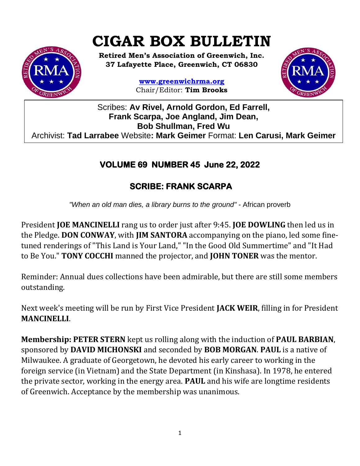# **CIGAR BOX BULLETIN**



**Retired Men's Association of Greenwich, Inc. 37 Lafayette Place, Greenwich, CT 06830**

> **www.greenwichrma.org** Chair/Editor: **Tim Brooks**



Scribes: **Av Rivel, Arnold Gordon, Ed Farrell, Frank Scarpa, Joe Angland, Jim Dean, Bob Shullman, Fred Wu** Archivist: **Tad Larrabee** Website**: Mark Geimer** Format: **Len Carusi, Mark Geimer c**

# **VOLUME 69 NUMBER 45 June 22, 2022**

# **SCRIBE: FRANK SCARPA**

*"When an old man dies, a library burns to the ground"* - African proverb

President **JOE MANCINELLI** rang us to order just after 9:45. **JOE DOWLING** then led us in the Pledge. **DON CONWAY**, with **JIM SANTORA** accompanying on the piano, led some finetuned renderings of "This Land is Your Land," "In the Good Old Summertime" and "It Had to Be You." **TONY COCCHI** manned the projector, and **JOHN TONER** was the mentor.

Reminder: Annual dues collections have been admirable, but there are still some members outstanding.

Next week's meeting will be run by First Vice President **JACK WEIR**, filling in for President **MANCINELLI**.

**Membership: PETER STERN** kept us rolling along with the induction of **PAUL BARBIAN**, sponsored by **DAVID MICHONSKI** and seconded by **BOB MORGAN**. **PAUL** is a native of Milwaukee. A graduate of Georgetown, he devoted his early career to working in the foreign service (in Vietnam) and the State Department (in Kinshasa). In 1978, he entered the private sector, working in the energy area. **PAUL** and his wife are longtime residents of Greenwich. Acceptance by the membership was unanimous.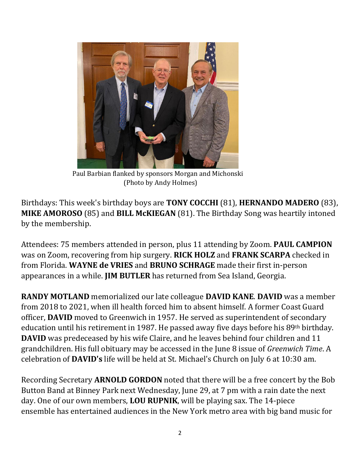

 Paul Barbian flanked by sponsors Morgan and Michonski (Photo by Andy Holmes)

Birthdays: This week's birthday boys are **TONY COCCHI** (81), **HERNANDO MADERO** (83), **MIKE AMOROSO** (85) and **BILL McKIEGAN** (81). The Birthday Song was heartily intoned by the membership.

Attendees: 75 members attended in person, plus 11 attending by Zoom. **PAUL CAMPION** was on Zoom, recovering from hip surgery. **RICK HOLZ** and **FRANK SCARPA** checked in from Florida. **WAYNE de VRIES** and **BRUNO SCHRAGE** made their first in-person appearances in a while. **JIM BUTLER** has returned from Sea Island, Georgia.

**RANDY MOTLAND** memorialized our late colleague **DAVID KANE**. **DAVID** was a member from 2018 to 2021, when ill health forced him to absent himself. A former Coast Guard officer, **DAVID** moved to Greenwich in 1957. He served as superintendent of secondary education until his retirement in 1987. He passed away five days before his 89<sup>th</sup> birthday. **DAVID** was predeceased by his wife Claire, and he leaves behind four children and 11 grandchildren. His full obituary may be accessed in the June 8 issue of *Greenwich Time*. A celebration of **DAVID's** life will be held at St. Michael's Church on July 6 at 10:30 am.

Recording Secretary **ARNOLD GORDON** noted that there will be a free concert by the Bob Button Band at Binney Park next Wednesday, June 29, at 7 pm with a rain date the next day. One of our own members, **LOU RUPNIK**, will be playing sax. The 14-piece ensemble has entertained audiences in the New York metro area with big band music for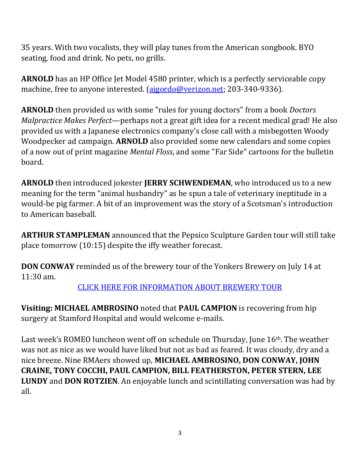35 years. With two vocalists, they will play tunes from the American songbook. BYO seating, food and drink. No pets, no grills.

**ARNOLD** has an HP Office Jet Model 4580 printer, which is a perfectly serviceable copy machine, free to anyone interested. [\(ajgordo@verizon.net;](mailto:ajgordo@verizon.net) 203-340-9336).

**ARNOLD** then provided us with some "rules for young doctors" from a book *Doctors Malpractice Makes Perfect*—perhaps not a great gift idea for a recent medical grad! He also provided us with a Japanese electronics company's close call with a misbegotten Woody Woodpecker ad campaign. **ARNOLD** also provided some new calendars and some copies of a now out of print magazine *Mental Floss*, and some "Far Side" cartoons for the bulletin board.

**ARNOLD** then introduced jokester **JERRY SCHWENDEMAN**, who introduced us to a new meaning for the term "animal husbandry" as he spun a tale of veterinary ineptitude in a would-be pig farmer. A bit of an improvement was the story of a Scotsman's introduction to American baseball.

**ARTHUR STAMPLEMAN** announced that the Pepsico Sculpture Garden tour will still take place tomorrow (10:15) despite the iffy weather forecast.

**DON CONWAY** reminded us of the brewery tour of the Yonkers Brewery on July 14 at 11:30 am.

[CLICK HERE FOR INFORMATION ABOUT BREWERY TOUR](https://mcusercontent.com/053716f9c54f7992fd5ff0675/files/41f83ddd-2d0e-65c6-22a9-70a8a0747551/July_Special_Event.pdf)

**Visiting: MICHAEL AMBROSINO** noted that **PAUL CAMPION** is recovering from hip surgery at Stamford Hospital and would welcome e-mails.

Last week's ROMEO luncheon went off on schedule on Thursday, June 16th. The weather was not as nice as we would have liked but not as bad as feared. It was cloudy, dry and a nice breeze. Nine RMAers showed up, **MICHAEL AMBROSINO, DON CONWAY, JOHN CRAINE, TONY COCCHI, PAUL CAMPION, BILL FEATHERSTON, PETER STERN, LEE LUNDY** and **DON ROTZIEN**. An enjoyable lunch and scintillating conversation was had by all.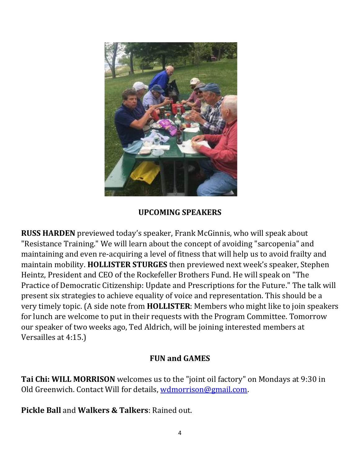

#### **UPCOMING SPEAKERS**

**RUSS HARDEN** previewed today's speaker, Frank McGinnis, who will speak about "Resistance Training." We will learn about the concept of avoiding "sarcopenia" and maintaining and even re-acquiring a level of fitness that will help us to avoid frailty and maintain mobility. **HOLLISTER STURGES** then previewed next week's speaker, Stephen Heintz, President and CEO of the Rockefeller Brothers Fund. He will speak on "The Practice of Democratic Citizenship: Update and Prescriptions for the Future." The talk will present six strategies to achieve equality of voice and representation. This should be a very timely topic. (A side note from **HOLLISTER**: Members who might like to join speakers for lunch are welcome to put in their requests with the Program Committee. Tomorrow our speaker of two weeks ago, Ted Aldrich, will be joining interested members at Versailles at 4:15.)

#### **FUN and GAMES**

**Tai Chi: WILL MORRISON** welcomes us to the "joint oil factory" on Mondays at 9:30 in Old Greenwich. Contact Will for details, [wdmorrison@gmail.com.](mailto:wdmorrison@gmail.com)

**Pickle Ball** and **Walkers & Talkers**: Rained out.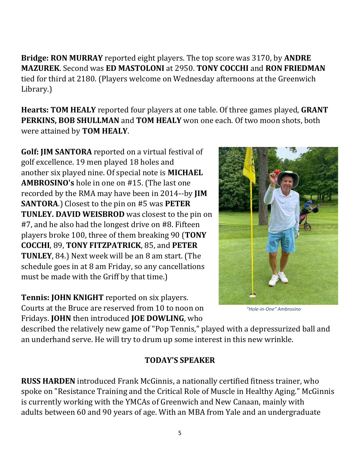Library.) **Hearts: TOM HEALY** reported four players at one table. Of three games played, **GRANT PERKINS, BOB SHULLMAN** and **TOM HEALY** won one each. Of two moon shots, both were attained by **TOM HEALY**.

**MAZUREK**. Second was **ED MASTOLONI** at 2950. **TONY COCCHI** and **RON FRIEDMAN** tied for third at 2180. (Players welcome on Wednesday afternoons at the Greenwich

**Bridge: RON MURRAY** reported eight players. The top score was 3170, by **ANDRE** 

**Golf: JIM SANTORA** reported on a virtual festival of golf excellence. 19 men played 18 holes and another six played nine. Of special note is **MICHAEL AMBROSINO's** hole in one on #15. (The last one recorded by the RMA may have been in 2014--by **JIM SANTORA**.) Closest to the pin on #5 was **PETER TUNLEY. DAVID WEISBROD** was closest to the pin on #7, and he also had the longest drive on #8. Fifteen players broke 100, three of them breaking 90 (**TONY COCCHI**, 89, **TONY FITZPATRICK**, 85, and **PETER TUNLEY**, 84.) Next week will be an 8 am start. (The schedule goes in at 8 am Friday, so any cancellations must be made with the Griff by that time.)

**Tennis: JOHN KNIGHT** reported on six players. Courts at the Bruce are reserved from 10 to noon on Fridays. **JOHN** then introduced **JOE DOWLING**, who

 *"Hole-in-One" Ambrosino*

described the relatively new game of "Pop Tennis," played with a depressurized ball and an underhand serve. He will try to drum up some interest in this new wrinkle.

#### **TODAY'S SPEAKER**

**RUSS HARDEN** introduced Frank McGinnis, a nationally certified fitness trainer, who spoke on "Resistance Training and the Critical Role of Muscle in Healthy Aging." McGinnis is currently working with the YMCAs of Greenwich and New Canaan, mainly with adults between 60 and 90 years of age. With an MBA from Yale and an undergraduate

5

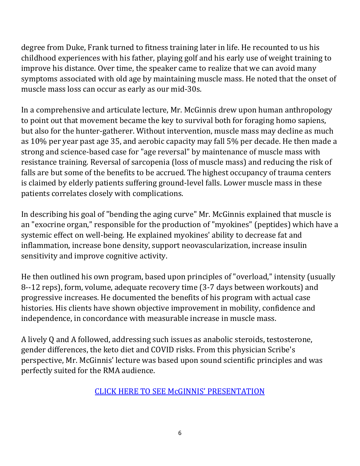degree from Duke, Frank turned to fitness training later in life. He recounted to us his childhood experiences with his father, playing golf and his early use of weight training to improve his distance. Over time, the speaker came to realize that we can avoid many symptoms associated with old age by maintaining muscle mass. He noted that the onset of muscle mass loss can occur as early as our mid-30s.

In a comprehensive and articulate lecture, Mr. McGinnis drew upon human anthropology to point out that movement became the key to survival both for foraging homo sapiens, but also for the hunter-gatherer. Without intervention, muscle mass may decline as much as 10% per year past age 35, and aerobic capacity may fall 5% per decade. He then made a strong and science-based case for "age reversal" by maintenance of muscle mass with resistance training. Reversal of sarcopenia (loss of muscle mass) and reducing the risk of falls are but some of the benefits to be accrued. The highest occupancy of trauma centers is claimed by elderly patients suffering ground-level falls. Lower muscle mass in these patients correlates closely with complications.

In describing his goal of "bending the aging curve" Mr. McGinnis explained that muscle is an "exocrine organ," responsible for the production of "myokines" (peptides) which have a systemic effect on well-being. He explained myokines' ability to decrease fat and inflammation, increase bone density, support neovascularization, increase insulin sensitivity and improve cognitive activity.

He then outlined his own program, based upon principles of "overload," intensity (usually 8--12 reps), form, volume, adequate recovery time (3-7 days between workouts) and progressive increases. He documented the benefits of his program with actual case histories. His clients have shown objective improvement in mobility, confidence and independence, in concordance with measurable increase in muscle mass.

A lively Q and A followed, addressing such issues as anabolic steroids, testosterone, gender differences, the keto diet and COVID risks. From this physician Scribe's perspective, Mr. McGinnis' lecture was based upon sound scientific principles and was perfectly suited for the RMA audience.

[CLICK HERE TO SEE McGINNIS](https://vimeo.com/user9053619/videos)' PRESENTATION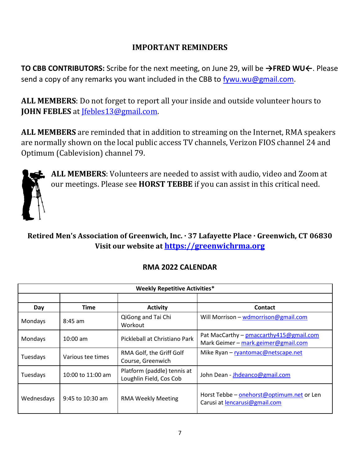### **IMPORTANT REMINDERS**

**TO CBB CONTRIBUTORS:** Scribe for the next meeting, on June 29, will be **→FRED WU←**. Please send a copy of any remarks you want included in the CBB to [fywu.wu@gmail.com.](mailto:fywu.wu@gmail.com)

**ALL MEMBERS**: Do not forget to report all your inside and outside volunteer hours to **JOHN FEBLES** at [Jfebles13@gmail.com.](mailto:Jfebles13@gmail.com)

**ALL MEMBERS** are reminded that in addition to streaming on the Internet, RMA speakers are normally shown on the local public access TV channels, Verizon FIOS channel 24 and Optimum (Cablevision) channel 79.



**ALL MEMBERS**: Volunteers are needed to assist with audio, video and Zoom at our meetings. Please see **HORST TEBBE** if you can assist in this critical need.

## **Retired Men's Association of Greenwich, Inc. · 37 Lafayette Place · Greenwich, CT 06830 Visit our website at [https://greenwichrma.org](https://greenwichrma.org/)**

| <b>Weekly Repetitive Activities*</b> |                    |                                                        |                                                                                 |  |
|--------------------------------------|--------------------|--------------------------------------------------------|---------------------------------------------------------------------------------|--|
|                                      |                    |                                                        |                                                                                 |  |
| Day                                  | <b>Time</b>        | <b>Activity</b>                                        | <b>Contact</b>                                                                  |  |
| Mondays                              | $8:45$ am          | QiGong and Tai Chi<br>Workout                          | Will Morrison - wdmorrison@gmail.com                                            |  |
| Mondays                              | $10:00$ am         | Pickleball at Christiano Park                          | Pat MacCarthy - pmaccarthy 415@gmail.com<br>Mark Geimer - mark.geimer@gmail.com |  |
| Tuesdays                             | Various tee times  | RMA Golf, the Griff Golf<br>Course, Greenwich          | Mike Ryan - ryantomac@netscape.net                                              |  |
| Tuesdays                             | 10:00 to 11:00 am  | Platform (paddle) tennis at<br>Loughlin Field, Cos Cob | John Dean - Jhdeanco@gmail.com                                                  |  |
| Wednesdays                           | $9:45$ to 10:30 am | <b>RMA Weekly Meeting</b>                              | Horst Tebbe - onehorst@optimum.net or Len<br>Carusi at lencarusi@gmail.com      |  |

## **RMA 2022 CALENDAR**